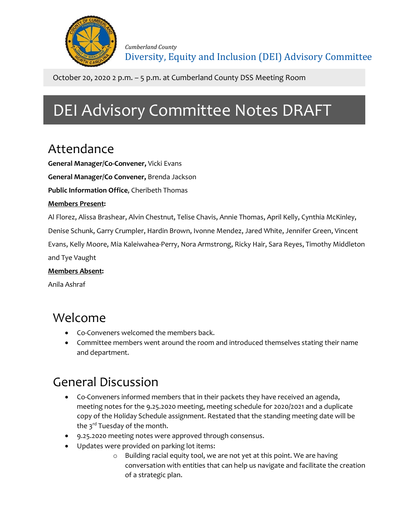

October 20, 2020 2 p.m. – 5 p.m. at Cumberland County DSS Meeting Room

# DEI Advisory Committee Notes DRAFT

### Attendance

**General Manager/Co-Convener,** Vicki Evans

**General Manager/Co Convener,** Brenda Jackson

**Public Information Office**, Cheribeth Thomas

#### **Members Present:**

Al Florez, Alissa Brashear, Alvin Chestnut, Telise Chavis, Annie Thomas, April Kelly, Cynthia McKinley,

Denise Schunk, Garry Crumpler, Hardin Brown, Ivonne Mendez, Jared White, Jennifer Green, Vincent

Evans, Kelly Moore, Mia Kaleiwahea-Perry, Nora Armstrong, Ricky Hair, Sara Reyes, Timothy Middleton and Tye Vaught

#### **Members Absent:**

Anila Ashraf

### Welcome

- Co-Conveners welcomed the members back.
- Committee members went around the room and introduced themselves stating their name and department.

## General Discussion

- Co-Conveners informed members that in their packets they have received an agenda, meeting notes for the 9.25.2020 meeting, meeting schedule for 2020/2021 and a duplicate copy of the Holiday Schedule assignment. Restated that the standing meeting date will be the 3<sup>rd</sup> Tuesday of the month.
- 9.25.2020 meeting notes were approved through consensus.
- Updates were provided on parking lot items:
	- o Building racial equity tool, we are not yet at this point. We are having conversation with entities that can help us navigate and facilitate the creation of a strategic plan.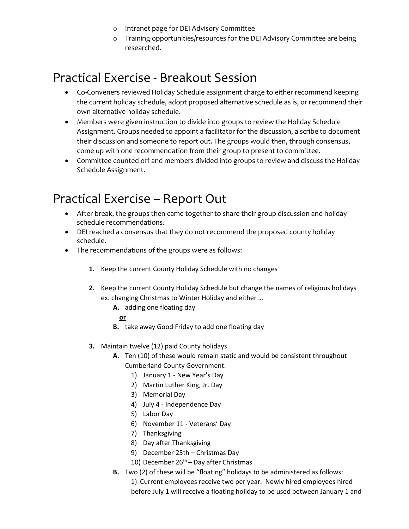- o Intranet page for DEI Advisory Committee
- o Training opportunities/resources for the DEI Advisory Committee are being researched.

#### Practical Exercise - Breakout Session

- Co-Conveners reviewed Holiday Schedule assignment charge to either recommend keeping the current holiday schedule, adopt proposed alternative schedule as is, or recommend their own alternative holiday schedule.
- Members were given instruction to divide into groups to review the Holiday Schedule Assignment. Groups needed to appoint a facilitator for the discussion, a scribe to document their discussion and someone to report out. The groups would then, through consensus, come up with one recommendation from their group to present to committee.
- Committee counted off and members divided into groups to review and discuss the Holiday Schedule Assignment.

### Practical Exercise – Report Out

- After break, the groups then came together to share their group discussion and holiday schedule recommendations.
- DEI reached a consensus that they do not recommend the proposed county holiday schedule.
- The recommendations of the groups were as follows:
	- **1.** Keep the current County Holiday Schedule with no changes
	- **2.** Keep the current County Holiday Schedule but change the names of religious holidays ex. changing Christmas to Winter Holiday and either …
		- **A.** adding one floating day

#### **or**

- **B.** take away Good Friday to add one floating day
- **3.** Maintain twelve (12) paid County holidays.
	- **A.** Ten (10) of these would remain static and would be consistent throughout Cumberland County Government:
		- 1) January 1 New Year's Day
		- 2) Martin Luther King, Jr. Day
		- 3) Memorial Day
		- 4) July 4 Independence Day
		- 5) Labor Day
		- 6) November 11 Veterans' Day
		- 7) Thanksgiving
		- 8) Day after Thanksgiving
		- 9) December 25th Christmas Day
		- 10) December  $26<sup>th</sup>$  Day after Christmas
	- **B.** Two (2) of these will be "floating" holidays to be administered as follows:
		- 1) Current employees receive two per year. Newly hired employees hired before July 1 will receive a floating holiday to be used between January 1 and